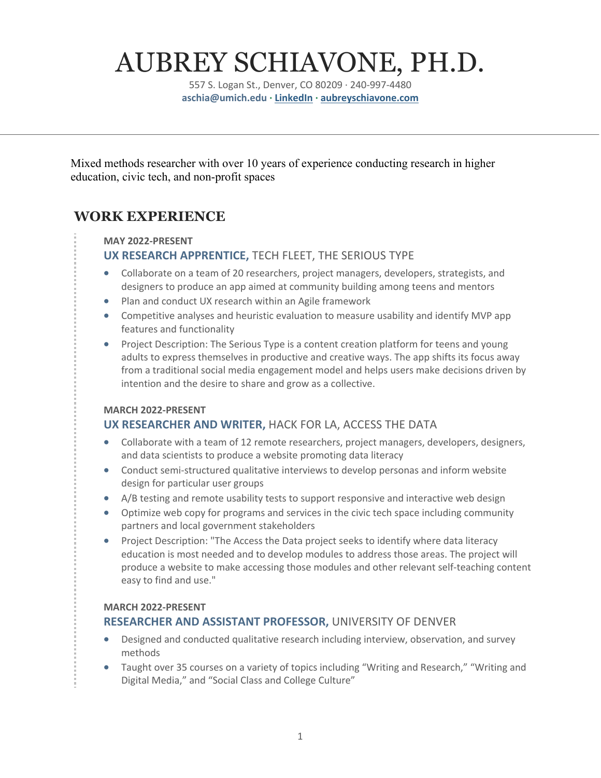# AUBREY SCHIAVONE, PH.D.

557 S. Logan St., Denver, CO 80209 · 240-997-4480 **aschia@umich.edu · LinkedIn · aubreyschiavone.com**

Mixed methods researcher with over 10 years of experience conducting research in higher education, civic tech, and non-profit spaces

# **WORK EXPERIENCE**

#### **MAY 2022-PRESENT**

### **UX RESEARCH APPRENTICE,** TECH FLEET, THE SERIOUS TYPE

- Collaborate on a team of 20 researchers, project managers, developers, strategists, and designers to produce an app aimed at community building among teens and mentors
- Plan and conduct UX research within an Agile framework
- Competitive analyses and heuristic evaluation to measure usability and identify MVP app features and functionality
- Project Description: The Serious Type is a content creation platform for teens and young adults to express themselves in productive and creative ways. The app shifts its focus away from a traditional social media engagement model and helps users make decisions driven by intention and the desire to share and grow as a collective.

#### **MARCH 2022-PRESENT**

## **UX RESEARCHER AND WRITER,** HACK FOR LA, ACCESS THE DATA

- Collaborate with a team of 12 remote researchers, project managers, developers, designers, and data scientists to produce a website promoting data literacy
- Conduct semi-structured qualitative interviews to develop personas and inform website design for particular user groups
- A/B testing and remote usability tests to support responsive and interactive web design
- Optimize web copy for programs and services in the civic tech space including community partners and local government stakeholders
- Project Description: "The Access the Data project seeks to identify where data literacy education is most needed and to develop modules to address those areas. The project will produce a website to make accessing those modules and other relevant self-teaching content easy to find and use."

#### **MARCH 2022-PRESENT**

### **RESEARCHER AND ASSISTANT PROFESSOR,** UNIVERSITY OF DENVER

- Designed and conducted qualitative research including interview, observation, and survey methods
- Taught over 35 courses on a variety of topics including "Writing and Research," "Writing and Digital Media," and "Social Class and College Culture"